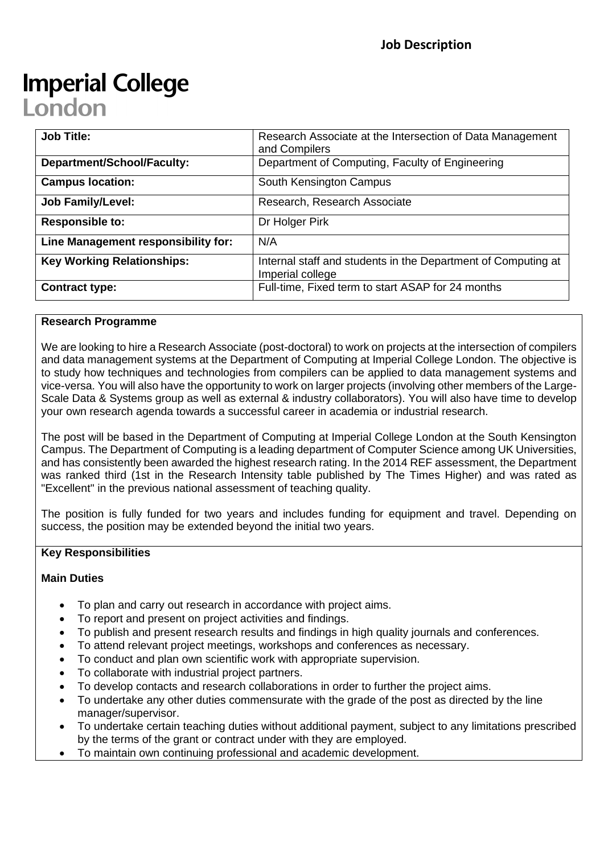# **Imperial College** London

| <b>Job Title:</b>                   | Research Associate at the Intersection of Data Management<br>and Compilers        |
|-------------------------------------|-----------------------------------------------------------------------------------|
| <b>Department/School/Faculty:</b>   | Department of Computing, Faculty of Engineering                                   |
| <b>Campus location:</b>             | South Kensington Campus                                                           |
| <b>Job Family/Level:</b>            | Research, Research Associate                                                      |
| <b>Responsible to:</b>              | Dr Holger Pirk                                                                    |
| Line Management responsibility for: | N/A                                                                               |
| <b>Key Working Relationships:</b>   | Internal staff and students in the Department of Computing at<br>Imperial college |
| <b>Contract type:</b>               | Full-time, Fixed term to start ASAP for 24 months                                 |

## **Research Programme**

We are looking to hire a Research Associate (post-doctoral) to work on projects at the intersection of compilers and data management systems at the Department of Computing at Imperial College London. The objective is to study how techniques and technologies from compilers can be applied to data management systems and vice-versa. You will also have the opportunity to work on larger projects (involving other members of the Large-Scale Data & Systems group as well as external & industry collaborators). You will also have time to develop your own research agenda towards a successful career in academia or industrial research.

The post will be based in the Department of Computing at Imperial College London at the South Kensington Campus. The Department of Computing is a leading department of Computer Science among UK Universities, and has consistently been awarded the highest research rating. In the 2014 REF assessment, the Department was ranked third (1st in the Research Intensity table published by The Times Higher) and was rated as "Excellent" in the previous national assessment of teaching quality.

The position is fully funded for two years and includes funding for equipment and travel. Depending on success, the position may be extended beyond the initial two years.

## **Key Responsibilities**

### **Main Duties**

- To plan and carry out research in accordance with project aims.
- To report and present on project activities and findings.
- To publish and present research results and findings in high quality journals and conferences.
- To attend relevant project meetings, workshops and conferences as necessary.
- To conduct and plan own scientific work with appropriate supervision.
- To collaborate with industrial project partners.
- To develop contacts and research collaborations in order to further the project aims.
- To undertake any other duties commensurate with the grade of the post as directed by the line manager/supervisor.
- To undertake certain teaching duties without additional payment, subject to any limitations prescribed by the terms of the grant or contract under with they are employed.
- To maintain own continuing professional and academic development.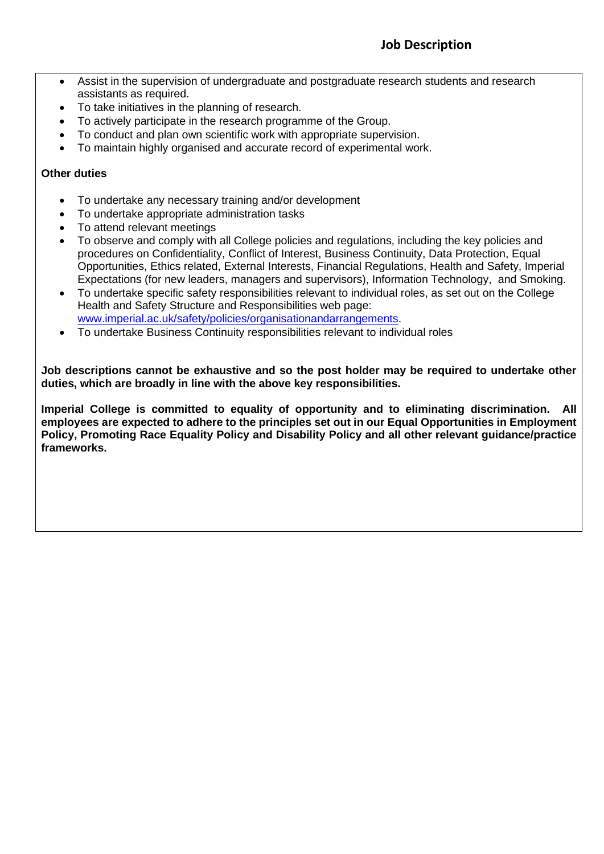- Assist in the supervision of undergraduate and postgraduate research students and research assistants as required.
- To take initiatives in the planning of research.
- To actively participate in the research programme of the Group.
- To conduct and plan own scientific work with appropriate supervision.
- To maintain highly organised and accurate record of experimental work.

## **Other duties**

- To undertake any necessary training and/or development
- To undertake appropriate administration tasks
- To attend relevant meetings
- To observe and comply with all College policies and regulations, including the key policies and procedures on Confidentiality, Conflict of Interest, Business Continuity, Data Protection, Equal Opportunities, Ethics related, External Interests, Financial Regulations, Health and Safety, Imperial Expectations (for new leaders, managers and supervisors), Information Technology, and Smoking.
- To undertake specific safety responsibilities relevant to individual roles, as set out on the College Health and Safety Structure and Responsibilities web page: [www.imperial.ac.uk/safety/policies/organisationandarrangements.](http://www.imperial.ac.uk/safety/policies/organisationandarrangements)
- To undertake Business Continuity responsibilities relevant to individual roles

**Job descriptions cannot be exhaustive and so the post holder may be required to undertake other duties, which are broadly in line with the above key responsibilities.**

**Imperial College is committed to equality of opportunity and to eliminating discrimination. All employees are expected to adhere to the principles set out in our Equal Opportunities in Employment Policy, Promoting Race Equality Policy and Disability Policy and all other relevant guidance/practice frameworks.**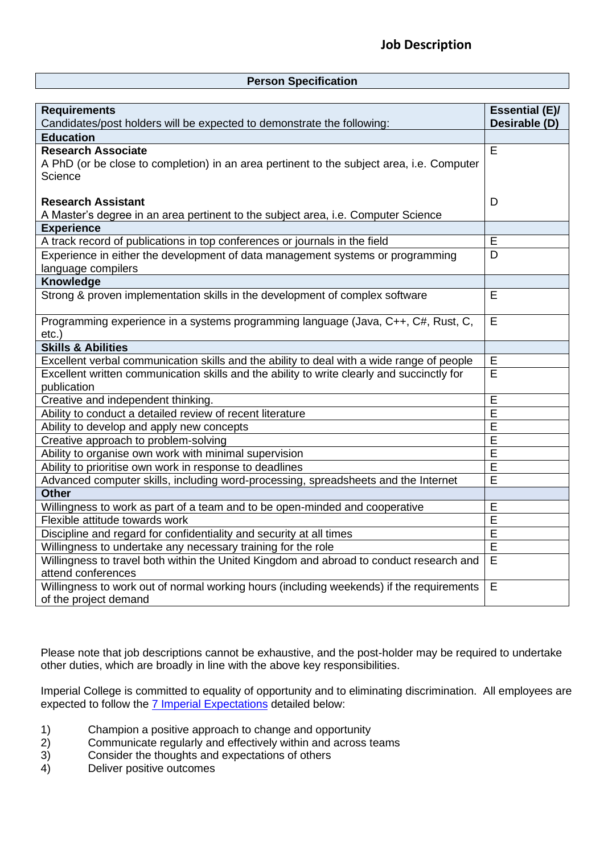#### **Person Specification**

| <b>Requirements</b><br>Candidates/post holders will be expected to demonstrate the following:                                     | <b>Essential (E)/</b><br>Desirable (D) |
|-----------------------------------------------------------------------------------------------------------------------------------|----------------------------------------|
| <b>Education</b>                                                                                                                  |                                        |
| <b>Research Associate</b><br>A PhD (or be close to completion) in an area pertinent to the subject area, i.e. Computer<br>Science | E                                      |
| <b>Research Assistant</b><br>A Master's degree in an area pertinent to the subject area, i.e. Computer Science                    | D                                      |
| <b>Experience</b>                                                                                                                 |                                        |
| A track record of publications in top conferences or journals in the field                                                        | Е                                      |
| Experience in either the development of data management systems or programming<br>language compilers                              | D                                      |
| Knowledge                                                                                                                         |                                        |
| Strong & proven implementation skills in the development of complex software                                                      | E                                      |
| Programming experience in a systems programming language (Java, C++, C#, Rust, C,<br>$etc.$ )                                     | E                                      |
| <b>Skills &amp; Abilities</b>                                                                                                     |                                        |
| Excellent verbal communication skills and the ability to deal with a wide range of people                                         | Е                                      |
| Excellent written communication skills and the ability to write clearly and succinctly for<br>publication                         | $\overline{\mathsf{E}}$                |
| Creative and independent thinking.                                                                                                | E                                      |
| Ability to conduct a detailed review of recent literature                                                                         | $\overline{E}$                         |
| Ability to develop and apply new concepts                                                                                         | $\overline{E}$                         |
| Creative approach to problem-solving                                                                                              | E                                      |
| Ability to organise own work with minimal supervision                                                                             | E                                      |
| Ability to prioritise own work in response to deadlines                                                                           | $\overline{E}$                         |
| Advanced computer skills, including word-processing, spreadsheets and the Internet                                                | E                                      |
| <b>Other</b>                                                                                                                      |                                        |
| Willingness to work as part of a team and to be open-minded and cooperative                                                       | E                                      |
| Flexible attitude towards work                                                                                                    | E                                      |
| Discipline and regard for confidentiality and security at all times                                                               | E                                      |
| Willingness to undertake any necessary training for the role                                                                      | E                                      |
| Willingness to travel both within the United Kingdom and abroad to conduct research and<br>attend conferences                     | E                                      |
| Willingness to work out of normal working hours (including weekends) if the requirements<br>of the project demand                 | E                                      |

Please note that job descriptions cannot be exhaustive, and the post-holder may be required to undertake other duties, which are broadly in line with the above key responsibilities.

Imperial College is committed to equality of opportunity and to eliminating discrimination. All employees are expected to follow the [7 Imperial Expectations](http://www.imperial.ac.uk/human-resources/working-at-imperial/imperial-expectations/) detailed below:

- 1) Champion a positive approach to change and opportunity
- 2) Communicate regularly and effectively within and across teams<br>3) Consider the thoughts and expectations of others
- 3) Consider the thoughts and expectations of others<br>4) Deliver positive outcomes
- Deliver positive outcomes